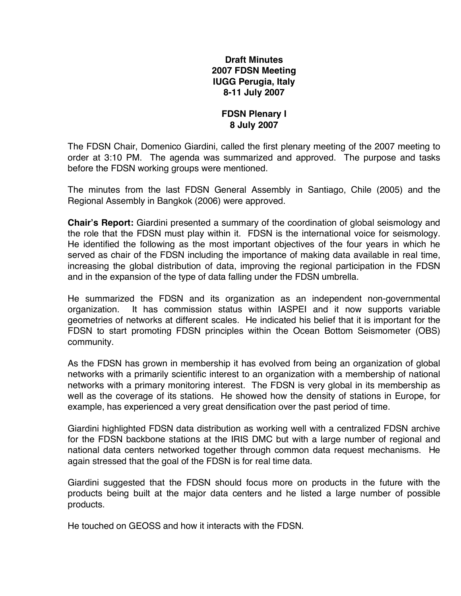## **Draft Minutes 2007 FDSN Meeting IUGG Perugia, Italy 8-11 July 2007**

### **FDSN Plenary I 8 July 2007**

The FDSN Chair, Domenico Giardini, called the first plenary meeting of the 2007 meeting to order at 3:10 PM. The agenda was summarized and approved. The purpose and tasks before the FDSN working groups were mentioned.

The minutes from the last FDSN General Assembly in Santiago, Chile (2005) and the Regional Assembly in Bangkok (2006) were approved.

**Chair's Report:** Giardini presented a summary of the coordination of global seismology and the role that the FDSN must play within it. FDSN is the international voice for seismology. He identified the following as the most important objectives of the four years in which he served as chair of the FDSN including the importance of making data available in real time, increasing the global distribution of data, improving the regional participation in the FDSN and in the expansion of the type of data falling under the FDSN umbrella.

He summarized the FDSN and its organization as an independent non-governmental organization. It has commission status within IASPEI and it now supports variable geometries of networks at different scales. He indicated his belief that it is important for the FDSN to start promoting FDSN principles within the Ocean Bottom Seismometer (OBS) community.

As the FDSN has grown in membership it has evolved from being an organization of global networks with a primarily scientific interest to an organization with a membership of national networks with a primary monitoring interest. The FDSN is very global in its membership as well as the coverage of its stations. He showed how the density of stations in Europe, for example, has experienced a very great densification over the past period of time.

Giardini highlighted FDSN data distribution as working well with a centralized FDSN archive for the FDSN backbone stations at the IRIS DMC but with a large number of regional and national data centers networked together through common data request mechanisms. He again stressed that the goal of the FDSN is for real time data.

Giardini suggested that the FDSN should focus more on products in the future with the products being built at the major data centers and he listed a large number of possible products.

He touched on GEOSS and how it interacts with the FDSN.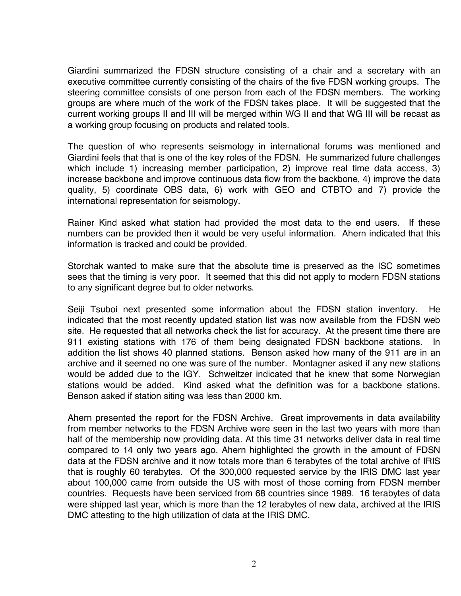Giardini summarized the FDSN structure consisting of a chair and a secretary with an executive committee currently consisting of the chairs of the five FDSN working groups. The steering committee consists of one person from each of the FDSN members. The working groups are where much of the work of the FDSN takes place. It will be suggested that the current working groups II and III will be merged within WG II and that WG III will be recast as a working group focusing on products and related tools.

The question of who represents seismology in international forums was mentioned and Giardini feels that that is one of the key roles of the FDSN. He summarized future challenges which include 1) increasing member participation, 2) improve real time data access, 3) increase backbone and improve continuous data flow from the backbone, 4) improve the data quality, 5) coordinate OBS data, 6) work with GEO and CTBTO and 7) provide the international representation for seismology.

Rainer Kind asked what station had provided the most data to the end users. If these numbers can be provided then it would be very useful information. Ahern indicated that this information is tracked and could be provided.

Storchak wanted to make sure that the absolute time is preserved as the ISC sometimes sees that the timing is very poor. It seemed that this did not apply to modern FDSN stations to any significant degree but to older networks.

Seiji Tsuboi next presented some information about the FDSN station inventory. He indicated that the most recently updated station list was now available from the FDSN web site. He requested that all networks check the list for accuracy. At the present time there are 911 existing stations with 176 of them being designated FDSN backbone stations. In addition the list shows 40 planned stations. Benson asked how many of the 911 are in an archive and it seemed no one was sure of the number. Montagner asked if any new stations would be added due to the IGY. Schweitzer indicated that he knew that some Norwegian stations would be added. Kind asked what the definition was for a backbone stations. Benson asked if station siting was less than 2000 km.

Ahern presented the report for the FDSN Archive. Great improvements in data availability from member networks to the FDSN Archive were seen in the last two years with more than half of the membership now providing data. At this time 31 networks deliver data in real time compared to 14 only two years ago. Ahern highlighted the growth in the amount of FDSN data at the FDSN archive and it now totals more than 6 terabytes of the total archive of IRIS that is roughly 60 terabytes. Of the 300,000 requested service by the IRIS DMC last year about 100,000 came from outside the US with most of those coming from FDSN member countries. Requests have been serviced from 68 countries since 1989. 16 terabytes of data were shipped last year, which is more than the 12 terabytes of new data, archived at the IRIS DMC attesting to the high utilization of data at the IRIS DMC.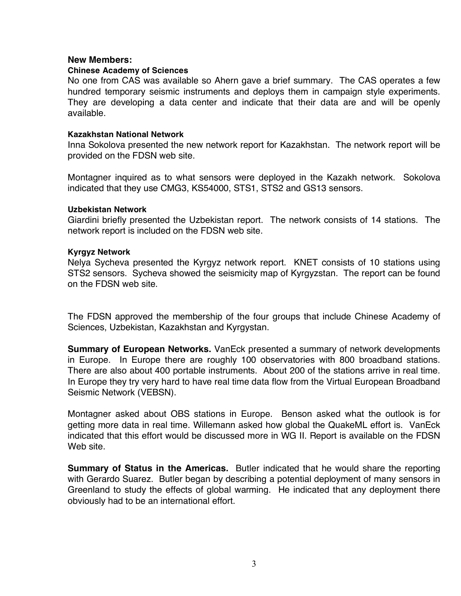#### **New Members:**

#### **Chinese Academy of Sciences**

No one from CAS was available so Ahern gave a brief summary. The CAS operates a few hundred temporary seismic instruments and deploys them in campaign style experiments. They are developing a data center and indicate that their data are and will be openly available.

#### **Kazakhstan National Network**

Inna Sokolova presented the new network report for Kazakhstan. The network report will be provided on the FDSN web site.

Montagner inquired as to what sensors were deployed in the Kazakh network. Sokolova indicated that they use CMG3, KS54000, STS1, STS2 and GS13 sensors.

#### **Uzbekistan Network**

Giardini briefly presented the Uzbekistan report. The network consists of 14 stations. The network report is included on the FDSN web site.

#### **Kyrgyz Network**

Nelya Sycheva presented the Kyrgyz network report. KNET consists of 10 stations using STS2 sensors. Sycheva showed the seismicity map of Kyrgyzstan. The report can be found on the FDSN web site.

The FDSN approved the membership of the four groups that include Chinese Academy of Sciences, Uzbekistan, Kazakhstan and Kyrgystan.

**Summary of European Networks.** VanEck presented a summary of network developments in Europe. In Europe there are roughly 100 observatories with 800 broadband stations. There are also about 400 portable instruments. About 200 of the stations arrive in real time. In Europe they try very hard to have real time data flow from the Virtual European Broadband Seismic Network (VEBSN).

Montagner asked about OBS stations in Europe. Benson asked what the outlook is for getting more data in real time. Willemann asked how global the QuakeML effort is. VanEck indicated that this effort would be discussed more in WG II. Report is available on the FDSN Web site.

**Summary of Status in the Americas.** Butler indicated that he would share the reporting with Gerardo Suarez. Butler began by describing a potential deployment of many sensors in Greenland to study the effects of global warming. He indicated that any deployment there obviously had to be an international effort.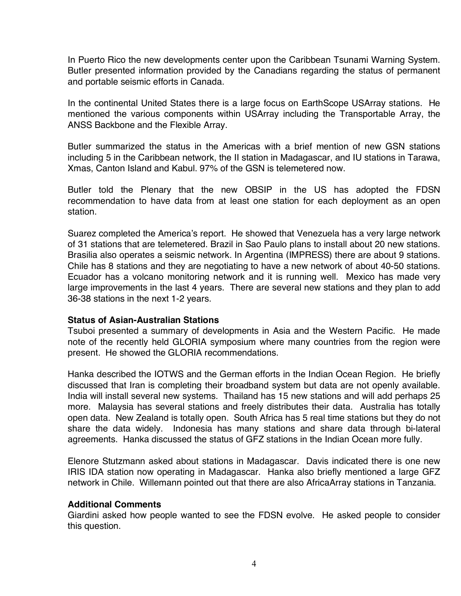In Puerto Rico the new developments center upon the Caribbean Tsunami Warning System. Butler presented information provided by the Canadians regarding the status of permanent and portable seismic efforts in Canada.

In the continental United States there is a large focus on EarthScope USArray stations. He mentioned the various components within USArray including the Transportable Array, the ANSS Backbone and the Flexible Array.

Butler summarized the status in the Americas with a brief mention of new GSN stations including 5 in the Caribbean network, the II station in Madagascar, and IU stations in Tarawa, Xmas, Canton Island and Kabul. 97% of the GSN is telemetered now.

Butler told the Plenary that the new OBSIP in the US has adopted the FDSN recommendation to have data from at least one station for each deployment as an open station.

Suarez completed the America's report. He showed that Venezuela has a very large network of 31 stations that are telemetered. Brazil in Sao Paulo plans to install about 20 new stations. Brasilia also operates a seismic network. In Argentina (IMPRESS) there are about 9 stations. Chile has 8 stations and they are negotiating to have a new network of about 40-50 stations. Ecuador has a volcano monitoring network and it is running well. Mexico has made very large improvements in the last 4 years. There are several new stations and they plan to add 36-38 stations in the next 1-2 years.

## **Status of Asian-Australian Stations**

Tsuboi presented a summary of developments in Asia and the Western Pacific. He made note of the recently held GLORIA symposium where many countries from the region were present. He showed the GLORIA recommendations.

Hanka described the IOTWS and the German efforts in the Indian Ocean Region. He briefly discussed that Iran is completing their broadband system but data are not openly available. India will install several new systems. Thailand has 15 new stations and will add perhaps 25 more. Malaysia has several stations and freely distributes their data. Australia has totally open data. New Zealand is totally open. South Africa has 5 real time stations but they do not share the data widely. Indonesia has many stations and share data through bi-lateral agreements. Hanka discussed the status of GFZ stations in the Indian Ocean more fully.

Elenore Stutzmann asked about stations in Madagascar. Davis indicated there is one new IRIS IDA station now operating in Madagascar. Hanka also briefly mentioned a large GFZ network in Chile. Willemann pointed out that there are also AfricaArray stations in Tanzania.

### **Additional Comments**

Giardini asked how people wanted to see the FDSN evolve. He asked people to consider this question.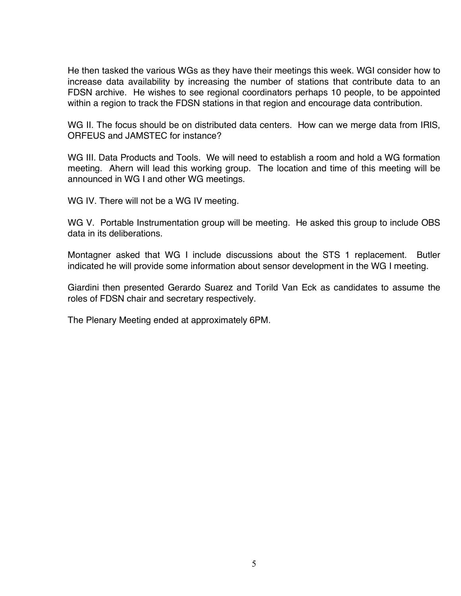He then tasked the various WGs as they have their meetings this week. WGI consider how to increase data availability by increasing the number of stations that contribute data to an FDSN archive. He wishes to see regional coordinators perhaps 10 people, to be appointed within a region to track the FDSN stations in that region and encourage data contribution.

WG II. The focus should be on distributed data centers. How can we merge data from IRIS, ORFEUS and JAMSTEC for instance?

WG III. Data Products and Tools. We will need to establish a room and hold a WG formation meeting. Ahern will lead this working group. The location and time of this meeting will be announced in WG I and other WG meetings.

WG IV. There will not be a WG IV meeting.

WG V. Portable Instrumentation group will be meeting. He asked this group to include OBS data in its deliberations.

Montagner asked that WG I include discussions about the STS 1 replacement. Butler indicated he will provide some information about sensor development in the WG I meeting.

Giardini then presented Gerardo Suarez and Torild Van Eck as candidates to assume the roles of FDSN chair and secretary respectively.

The Plenary Meeting ended at approximately 6PM.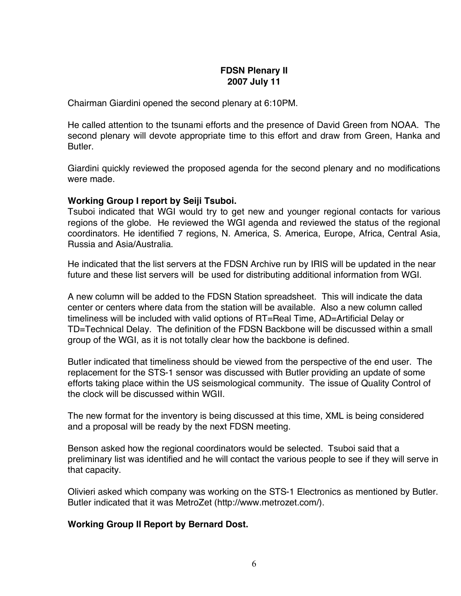# **FDSN Plenary II 2007 July 11**

Chairman Giardini opened the second plenary at 6:10PM.

He called attention to the tsunami efforts and the presence of David Green from NOAA. The second plenary will devote appropriate time to this effort and draw from Green, Hanka and Butler.

Giardini quickly reviewed the proposed agenda for the second plenary and no modifications were made.

## **Working Group I report by Seiji Tsuboi.**

Tsuboi indicated that WGI would try to get new and younger regional contacts for various regions of the globe. He reviewed the WGI agenda and reviewed the status of the regional coordinators. He identified 7 regions, N. America, S. America, Europe, Africa, Central Asia, Russia and Asia/Australia.

He indicated that the list servers at the FDSN Archive run by IRIS will be updated in the near future and these list servers will be used for distributing additional information from WGI.

A new column will be added to the FDSN Station spreadsheet. This will indicate the data center or centers where data from the station will be available. Also a new column called timeliness will be included with valid options of RT=Real Time, AD=Artificial Delay or TD=Technical Delay. The definition of the FDSN Backbone will be discussed within a small group of the WGI, as it is not totally clear how the backbone is defined.

Butler indicated that timeliness should be viewed from the perspective of the end user. The replacement for the STS-1 sensor was discussed with Butler providing an update of some efforts taking place within the US seismological community. The issue of Quality Control of the clock will be discussed within WGII.

The new format for the inventory is being discussed at this time, XML is being considered and a proposal will be ready by the next FDSN meeting.

Benson asked how the regional coordinators would be selected. Tsuboi said that a preliminary list was identified and he will contact the various people to see if they will serve in that capacity.

Olivieri asked which company was working on the STS-1 Electronics as mentioned by Butler. Butler indicated that it was MetroZet (http://www.metrozet.com/).

## **Working Group II Report by Bernard Dost.**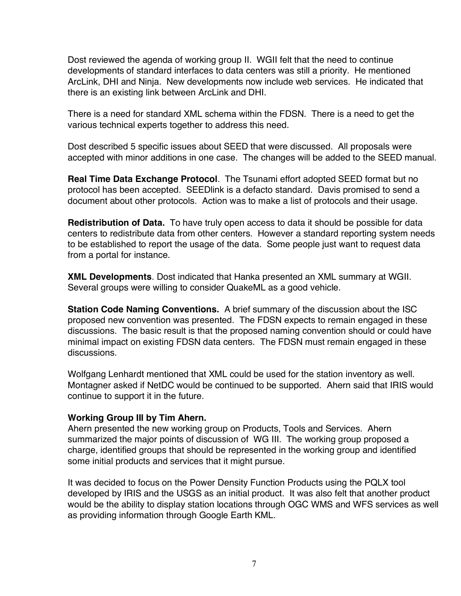Dost reviewed the agenda of working group II. WGII felt that the need to continue developments of standard interfaces to data centers was still a priority. He mentioned ArcLink, DHI and Ninja. New developments now include web services. He indicated that there is an existing link between ArcLink and DHI.

There is a need for standard XML schema within the FDSN. There is a need to get the various technical experts together to address this need.

Dost described 5 specific issues about SEED that were discussed. All proposals were accepted with minor additions in one case. The changes will be added to the SEED manual.

**Real Time Data Exchange Protocol**. The Tsunami effort adopted SEED format but no protocol has been accepted. SEEDlink is a defacto standard. Davis promised to send a document about other protocols. Action was to make a list of protocols and their usage.

**Redistribution of Data.** To have truly open access to data it should be possible for data centers to redistribute data from other centers. However a standard reporting system needs to be established to report the usage of the data. Some people just want to request data from a portal for instance.

**XML Developments**. Dost indicated that Hanka presented an XML summary at WGII. Several groups were willing to consider QuakeML as a good vehicle.

**Station Code Naming Conventions.** A brief summary of the discussion about the ISC proposed new convention was presented. The FDSN expects to remain engaged in these discussions. The basic result is that the proposed naming convention should or could have minimal impact on existing FDSN data centers. The FDSN must remain engaged in these discussions.

Wolfgang Lenhardt mentioned that XML could be used for the station inventory as well. Montagner asked if NetDC would be continued to be supported. Ahern said that IRIS would continue to support it in the future.

## **Working Group III by Tim Ahern.**

Ahern presented the new working group on Products, Tools and Services. Ahern summarized the major points of discussion of WG III. The working group proposed a charge, identified groups that should be represented in the working group and identified some initial products and services that it might pursue.

It was decided to focus on the Power Density Function Products using the PQLX tool developed by IRIS and the USGS as an initial product. It was also felt that another product would be the ability to display station locations through OGC WMS and WFS services as well as providing information through Google Earth KML.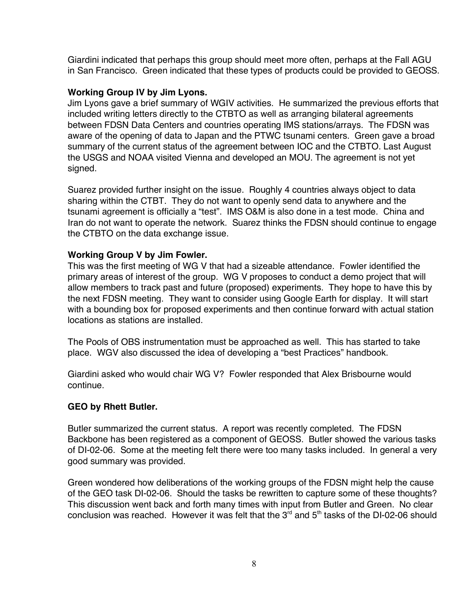Giardini indicated that perhaps this group should meet more often, perhaps at the Fall AGU in San Francisco. Green indicated that these types of products could be provided to GEOSS.

## **Working Group IV by Jim Lyons.**

Jim Lyons gave a brief summary of WGIV activities. He summarized the previous efforts that included writing letters directly to the CTBTO as well as arranging bilateral agreements between FDSN Data Centers and countries operating IMS stations/arrays. The FDSN was aware of the opening of data to Japan and the PTWC tsunami centers. Green gave a broad summary of the current status of the agreement between IOC and the CTBTO. Last August the USGS and NOAA visited Vienna and developed an MOU. The agreement is not yet signed.

Suarez provided further insight on the issue. Roughly 4 countries always object to data sharing within the CTBT. They do not want to openly send data to anywhere and the tsunami agreement is officially a "test". IMS O&M is also done in a test mode. China and Iran do not want to operate the network. Suarez thinks the FDSN should continue to engage the CTBTO on the data exchange issue.

## **Working Group V by Jim Fowler.**

This was the first meeting of WG V that had a sizeable attendance. Fowler identified the primary areas of interest of the group. WG V proposes to conduct a demo project that will allow members to track past and future (proposed) experiments. They hope to have this by the next FDSN meeting. They want to consider using Google Earth for display. It will start with a bounding box for proposed experiments and then continue forward with actual station locations as stations are installed.

The Pools of OBS instrumentation must be approached as well. This has started to take place. WGV also discussed the idea of developing a "best Practices" handbook.

Giardini asked who would chair WG V? Fowler responded that Alex Brisbourne would continue.

# **GEO by Rhett Butler.**

Butler summarized the current status. A report was recently completed. The FDSN Backbone has been registered as a component of GEOSS. Butler showed the various tasks of DI-02-06. Some at the meeting felt there were too many tasks included. In general a very good summary was provided.

Green wondered how deliberations of the working groups of the FDSN might help the cause of the GEO task DI-02-06. Should the tasks be rewritten to capture some of these thoughts? This discussion went back and forth many times with input from Butler and Green. No clear conclusion was reached. However it was felt that the  $3^{rd}$  and  $5^{th}$  tasks of the DI-02-06 should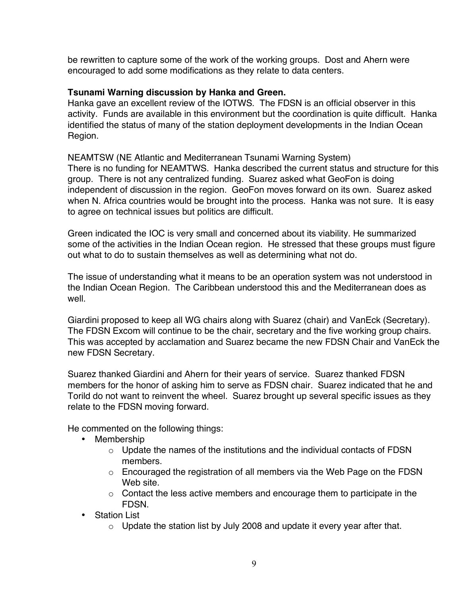be rewritten to capture some of the work of the working groups. Dost and Ahern were encouraged to add some modifications as they relate to data centers.

## **Tsunami Warning discussion by Hanka and Green.**

Hanka gave an excellent review of the IOTWS. The FDSN is an official observer in this activity. Funds are available in this environment but the coordination is quite difficult. Hanka identified the status of many of the station deployment developments in the Indian Ocean Region.

NEAMTSW (NE Atlantic and Mediterranean Tsunami Warning System) There is no funding for NEAMTWS. Hanka described the current status and structure for this group. There is not any centralized funding. Suarez asked what GeoFon is doing independent of discussion in the region. GeoFon moves forward on its own. Suarez asked when N. Africa countries would be brought into the process. Hanka was not sure. It is easy to agree on technical issues but politics are difficult.

Green indicated the IOC is very small and concerned about its viability. He summarized some of the activities in the Indian Ocean region. He stressed that these groups must figure out what to do to sustain themselves as well as determining what not do.

The issue of understanding what it means to be an operation system was not understood in the Indian Ocean Region. The Caribbean understood this and the Mediterranean does as well

Giardini proposed to keep all WG chairs along with Suarez (chair) and VanEck (Secretary). The FDSN Excom will continue to be the chair, secretary and the five working group chairs. This was accepted by acclamation and Suarez became the new FDSN Chair and VanEck the new FDSN Secretary.

Suarez thanked Giardini and Ahern for their years of service. Suarez thanked FDSN members for the honor of asking him to serve as FDSN chair. Suarez indicated that he and Torild do not want to reinvent the wheel. Suarez brought up several specific issues as they relate to the FDSN moving forward.

He commented on the following things:

- Membership
	- o Update the names of the institutions and the individual contacts of FDSN members.
	- o Encouraged the registration of all members via the Web Page on the FDSN Web site.
	- $\circ$  Contact the less active members and encourage them to participate in the FDSN.
- Station List
	- $\circ$  Update the station list by July 2008 and update it every year after that.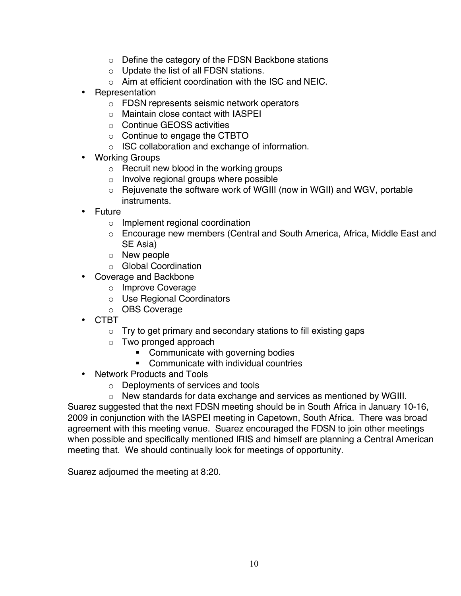- o Define the category of the FDSN Backbone stations
- o Update the list of all FDSN stations.
- $\circ$  Aim at efficient coordination with the ISC and NEIC.
- Representation
	- o FDSN represents seismic network operators
	- o Maintain close contact with IASPEI
	- o Continue GEOSS activities
	- o Continue to engage the CTBTO
	- o ISC collaboration and exchange of information.
- Working Groups
	- o Recruit new blood in the working groups
	- o Involve regional groups where possible
	- o Rejuvenate the software work of WGIII (now in WGII) and WGV, portable **instruments**
- Future
	- o Implement regional coordination
	- o Encourage new members (Central and South America, Africa, Middle East and SE Asia)
	- o New people
	- o Global Coordination
- Coverage and Backbone
	- o Improve Coverage
	- o Use Regional Coordinators
	- o OBS Coverage
- CTBT
	- $\circ$  Try to get primary and secondary stations to fill existing gaps
	- o Two pronged approach
		- **Communicate with governing bodies**
		- **EXECOMMUNICATE With individual countries**
- Network Products and Tools
	- o Deployments of services and tools
	- o New standards for data exchange and services as mentioned by WGIII.

Suarez suggested that the next FDSN meeting should be in South Africa in January 10-16, 2009 in conjunction with the IASPEI meeting in Capetown, South Africa. There was broad agreement with this meeting venue. Suarez encouraged the FDSN to join other meetings when possible and specifically mentioned IRIS and himself are planning a Central American meeting that. We should continually look for meetings of opportunity.

Suarez adjourned the meeting at 8:20.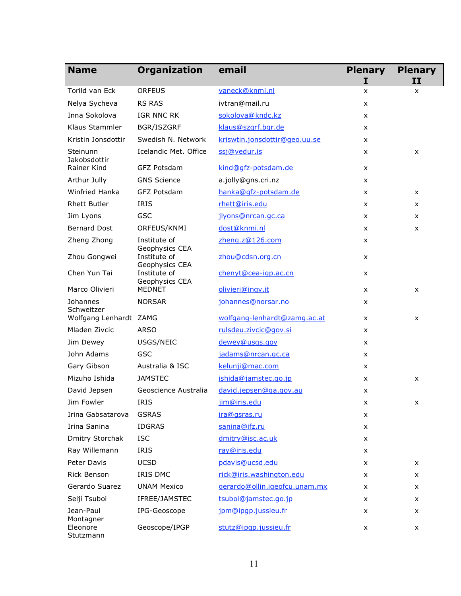| <b>Name</b>              | <b>Organization</b>            | email                         | <b>Plenary</b> | <b>Plenary</b> |
|--------------------------|--------------------------------|-------------------------------|----------------|----------------|
|                          |                                |                               | I              | II             |
| Torild van Eck           | <b>ORFEUS</b>                  | vaneck@knmi.nl                | X              | x              |
| Nelya Sycheva            | <b>RS RAS</b>                  | ivtran@mail.ru                | X              |                |
| Inna Sokolova            | IGR NNC RK                     | sokolova@kndc.kz              | X              |                |
| Klaus Stammler           | BGR/ISZGRF                     | klaus@szgrf.bgr.de            | X              |                |
| Kristin Jonsdottir       | Swedish N. Network             | kriswtin.jonsdottir@geo.uu.se | X              |                |
| Steinunn<br>Jakobsdottir | Icelandic Met. Office          | ssj@vedur.is                  | x              | x              |
| Rainer Kind              | GFZ Potsdam                    | kind@qfz-potsdam.de           | X              |                |
| Arthur Jully             | <b>GNS Science</b>             | a.jolly@gns.cri.nz            | X              |                |
| Winfried Hanka           | GFZ Potsdam                    | hanka@qfz-potsdam.de          | x              | X              |
| <b>Rhett Butler</b>      | <b>IRIS</b>                    | rhett@iris.edu                | X              | X              |
| Jim Lyons                | <b>GSC</b>                     | jlyons@nrcan.gc.ca            | X              | X              |
| <b>Bernard Dost</b>      | ORFEUS/KNMI                    | dost@knmi.nl                  | x              | x              |
| Zheng Zhong              | Institute of<br>Geophysics CEA | zheng.z@126.com               | X              |                |
| Zhou Gongwei             | Institute of<br>Geophysics CEA | zhou@cdsn.org.cn              | X              |                |
| Chen Yun Tai             | Institute of<br>Geophysics CEA | chenyt@cea-igp.ac.cn          | x              |                |
| Marco Olivieri           | <b>MEDNET</b>                  | olivieri@ingv.it              | X              | X              |
| Johannes<br>Schweitzer   | <b>NORSAR</b>                  | johannes@norsar.no            | x              |                |
| Wolfgang Lenhardt ZAMG   |                                | wolfgang-lenhardt@zamg.ac.at  | X              | X              |
| Mladen Zivcic            | <b>ARSO</b>                    | rulsdeu.zivcic@gov.si         | X              |                |
| Jim Dewey                | USGS/NEIC                      | dewey@usgs.gov                | X              |                |
| John Adams               | <b>GSC</b>                     | jadams@nrcan.gc.ca            | X              |                |
| Gary Gibson              | Australia & ISC                | kelunji@mac.com               | X              |                |
| Mizuho Ishida            | <b>JAMSTEC</b>                 | ishida@jamstec.go.jp          | x              | X              |
| David Jepsen             | Geoscience Australia           | david.jepsen@ga.gov.au        | X              |                |
| Jim Fowler               | IRIS                           | jim@iris.edu                  | x              | x              |
| Irina Gabsatarova        | <b>GSRAS</b>                   | ira@qsras.ru                  | x              |                |
| Irina Sanina             | <b>IDGRAS</b>                  | sanina@ifz.ru                 | X              |                |
| Dmitry Storchak          | <b>ISC</b>                     | dmitry@isc.ac.uk              | X              |                |
| Ray Willemann            | IRIS                           | ray@iris.edu                  | X              |                |
| Peter Davis              | <b>UCSD</b>                    | pdavis@ucsd.edu               | x              | x              |
| <b>Rick Benson</b>       | IRIS DMC                       | rick@iris.washington.edu      | X              | x              |
| Gerardo Suarez           | <b>UNAM Mexico</b>             | gerardo@ollin.igeofcu.unam.mx | x              | x              |
| Seiji Tsuboi             | IFREE/JAMSTEC                  | tsuboi@jamstec.go.jp          | X              | x              |
| Jean-Paul<br>Montagner   | IPG-Geoscope                   | jpm@ipqp.jussieu.fr           | X              | X              |
| Eleonore<br>Stutzmann    | Geoscope/IPGP                  | stutz@ipqp.jussieu.fr         | x              | x              |